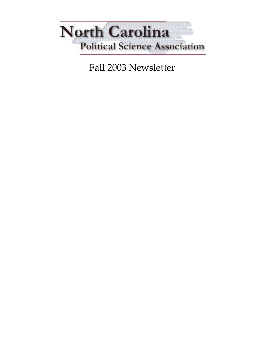

Fall 2003 Newsletter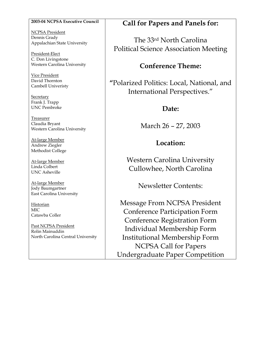#### 2003-04 NCPSA Executive Council

NCPSA President Dennis Grady Appalachian State University

President-Elect C. Don Livingstone Western Carolina University

Vice President David Thornton Cambell Univeristy

**Secretary** Frank J. Trapp UNC Pembroke

Treasurer Claudia Bryant Western Carolina University

At-large Member Andrew Ziegler Methodist College

At-large Member Linda Colbert UNC Asheville

At-large Member Jody Baumgartner East Carolina University

**Historian** MIC Catawba Coller

Past NCPSA President Rolin Mainuddin North Carolina Central University

## Call for Papers and Panels for:

The 33rd North Carolina Political Science Association Meeting

## Conference Theme:

"Polarized Politics: Local, National, and International Perspectives."

## Date:

March 26 – 27, 2003

## Location:

Western Carolina University Cullowhee, North Carolina

Newsletter Contents:

Message From NCPSA President Conference Participation Form Conference Registration Form Individual Membership Form Institutional Membership Form NCPSA Call for Papers Undergraduate Paper Competition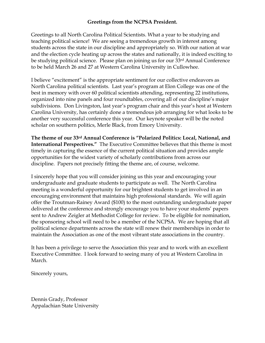#### Greetings from the NCPSA President.

Greetings to all North Carolina Political Scientists. What a year to be studying and teaching political science! We are seeing a tremendous growth in interest among students across the state in our discipline and appropriately so. With our nation at war and the election cycle heating up across the states and nationally, it is indeed exciting to be studying political science. Please plan on joining us for our 33rd Annual Conference to be held March 26 and 27 at Western Carolina University in Cullowhee.

I believe "excitement" is the appropriate sentiment for our collective endeavors as North Carolina political scientists. Last year's program at Elon College was one of the best in memory with over 60 political scientists attending, representing 22 institutions, organized into nine panels and four roundtables, covering all of our discipline's major subdivisions. Don Livingston, last year's program chair and this year's host at Western Carolina University, has certainly done a tremendous job arranging for what looks to be another very successful conference this year. Our keynote speaker will be the noted scholar on southern politics, Merle Black, from Emory University.

The theme of our 33rd Annual Conference is "Polarized Politics: Local, National, and International Perspectives." The Executive Committee believes that this theme is most timely in capturing the essence of the current political situation and provides ample opportunities for the widest variety of scholarly contributions from across our discipline. Papers not precisely fitting the theme are, of course, welcome.

I sincerely hope that you will consider joining us this year and encouraging your undergraduate and graduate students to participate as well. The North Carolina meeting is a wonderful opportunity for our brightest students to get involved in an encouraging environment that maintains high professional standards. We will again offer the Troutman-Rainey Award (\$100) to the most outstanding undergraduate paper delivered at the conference and strongly encourage you to have your students' papers sent to Andrew Zeigler at Methodist College for review. To be eligible for nomination, the sponsoring school will need to be a member of the NCPSA. We are hoping that all political science departments across the state will renew their memberships in order to maintain the Association as one of the most vibrant state associations in the country.

It has been a privilege to serve the Association this year and to work with an excellent Executive Committee. I look forward to seeing many of you at Western Carolina in March.

Sincerely yours,

Dennis Grady, Professor Appalachian State University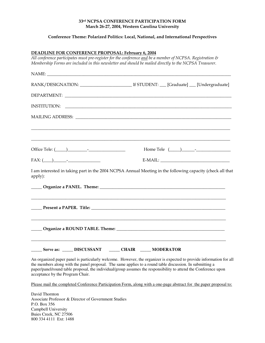#### 33rd NCPSA CONFERENCE PARTICIPATION FORM March 26-27, 2004, Western Carolina University

#### Conference Theme: Polarized Politics: Local, National, and International Perspectives

#### DEADLINE FOR CONFERENCE PROPOSAL: February 6, 2004

All conference participates must pre-register for the conference and be a member of NCPSA. Registration & Membership Forms are included in this newsletter and should be mailed directly to the NCPSA Treasurer.

|                                  | $\textcolor{red}{\textbf{INSTITUTION:}} \quad \textcolor{red}{\textbf{1000}} \quad \textcolor{red}{\textbf{210}} \quad \textcolor{red}{\textbf{221}} \quad \textcolor{red}{\textbf{232}} \quad \textcolor{red}{\textbf{242}} \quad \textcolor{red}{\textbf{253}} \quad \textcolor{red}{\textbf{263}} \quad \textcolor{red}{\textbf{272}} \quad \textcolor{red}{\textbf{284}} \quad \textcolor{red}{\textbf{292}} \quad \textcolor{red}{\textbf{212}} \quad \textcolor{red}{\textbf{213}} \quad \textcolor{red}{\textbf{$ |  |                                                                                                                                                                                                                                                                                                                                                    |  |
|----------------------------------|--------------------------------------------------------------------------------------------------------------------------------------------------------------------------------------------------------------------------------------------------------------------------------------------------------------------------------------------------------------------------------------------------------------------------------------------------------------------------------------------------------------------------|--|----------------------------------------------------------------------------------------------------------------------------------------------------------------------------------------------------------------------------------------------------------------------------------------------------------------------------------------------------|--|
|                                  |                                                                                                                                                                                                                                                                                                                                                                                                                                                                                                                          |  |                                                                                                                                                                                                                                                                                                                                                    |  |
|                                  |                                                                                                                                                                                                                                                                                                                                                                                                                                                                                                                          |  |                                                                                                                                                                                                                                                                                                                                                    |  |
|                                  |                                                                                                                                                                                                                                                                                                                                                                                                                                                                                                                          |  | Home Tele $(\_\_)$ - $\_\_$                                                                                                                                                                                                                                                                                                                        |  |
| $FAX: ($ $)$ $-$                 |                                                                                                                                                                                                                                                                                                                                                                                                                                                                                                                          |  | $E-MAIL:$                                                                                                                                                                                                                                                                                                                                          |  |
| apply):                          |                                                                                                                                                                                                                                                                                                                                                                                                                                                                                                                          |  | I am interested in taking part in the 2004 NCPSA Annual Meeting in the following capacity (check all that                                                                                                                                                                                                                                          |  |
|                                  |                                                                                                                                                                                                                                                                                                                                                                                                                                                                                                                          |  |                                                                                                                                                                                                                                                                                                                                                    |  |
|                                  |                                                                                                                                                                                                                                                                                                                                                                                                                                                                                                                          |  |                                                                                                                                                                                                                                                                                                                                                    |  |
|                                  |                                                                                                                                                                                                                                                                                                                                                                                                                                                                                                                          |  |                                                                                                                                                                                                                                                                                                                                                    |  |
|                                  | ____ Serve as: _____ DISCUSSANT _____ CHAIR _____ MODERATOR                                                                                                                                                                                                                                                                                                                                                                                                                                                              |  |                                                                                                                                                                                                                                                                                                                                                    |  |
| acceptance by the Program Chair. |                                                                                                                                                                                                                                                                                                                                                                                                                                                                                                                          |  | An organized paper panel is particularly welcome. However, the organizer is expected to provide information for all<br>the members along with the panel proposal. The same applies to a round table discussion. In submitting a<br>paper/panel/round table proposal, the individual/group assumes the responsibility to attend the Conference upon |  |

Please mail the completed Conference Participation Form, along with a one-page abstract for the paper proposal to:

David Thornton Associate Professor & Director of Government Studies P.O. Box 356 Campbell University Buies Creek, NC 27506 800 334 4111 Ext: 1488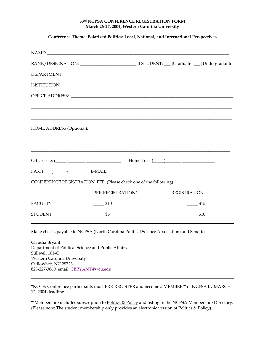#### 33rd NCPSA CONFERENCE REGISTRATION FORM March 26-27, 2004, Western Carolina University

#### Conference Theme: Polarized Politics: Local, National, and International Perspectives

| $FAX: (\_\_) \_\_$ - $\_\_$ E-MAIL:                              |                    |                     |  |
|------------------------------------------------------------------|--------------------|---------------------|--|
| CONFERENCE REGISTRATION FEE: (Please check one of the following) |                    |                     |  |
|                                                                  | PRE-REGISTRATION*  | <b>REGISTRATION</b> |  |
| <b>FACULTY</b>                                                   | $\frac{1}{2}$ \$10 | \$15                |  |
| <b>STUDENT</b>                                                   | $\frac{1}{5}$      | \$10                |  |

Make checks payable to NCPSA (North Carolina Political Science Association) and Send to:

Claudia Bryant Department of Political Science and Public Affairs Stillwell 101-C Western Carolina University Cullowhee, NC 28723 828-227-3860, email: CBRYANT@wcu.edu

\*NOTE: Conference participants must PRE-REGISTER and become a MEMBER\*\* of NCPSA by MARCH 12, 2004 deadline.

\*\*Membership includes subscription to Politics & Policy and listing in the NCPSA Membership Directory. (Please note: The student membership only provides an electronic version of Politics & Policy)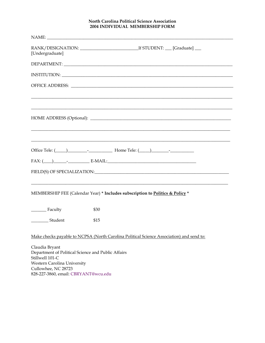#### North Carolina Political Science Association 2004 INDIVIDUAL MEMBERSHIP FORM

| [Undergraduate]                                                                                                                                                                                                                                                                                                                                                                                                                             |
|---------------------------------------------------------------------------------------------------------------------------------------------------------------------------------------------------------------------------------------------------------------------------------------------------------------------------------------------------------------------------------------------------------------------------------------------|
|                                                                                                                                                                                                                                                                                                                                                                                                                                             |
|                                                                                                                                                                                                                                                                                                                                                                                                                                             |
|                                                                                                                                                                                                                                                                                                                                                                                                                                             |
|                                                                                                                                                                                                                                                                                                                                                                                                                                             |
| <u> 1989 - Johann Stoff, deutscher Stoff, der Stoff, der Stoff, der Stoff, der Stoff, der Stoff, der Stoff, der S</u><br>Office Tele: ( <u>Califare 2001)</u> Letter    Letter    Letter    Letter    Letter    Letter    Letter    Letter    Letter    Letter    Letter    Letter    Letter    Letter    Letter    Letter    Letter    Letter    Letter<br>$FAX: (\hspace{1cm} ) \hspace{3cm} \longrightarrow \hspace{3cm} \text{E-MAIL:}$ |
|                                                                                                                                                                                                                                                                                                                                                                                                                                             |
| MEMBERSHIP FEE (Calendar Year) * Includes subscription to Politics & Policy *                                                                                                                                                                                                                                                                                                                                                               |
| Faculty<br>\$30                                                                                                                                                                                                                                                                                                                                                                                                                             |
| ___________Student<br>\$15                                                                                                                                                                                                                                                                                                                                                                                                                  |
| Make checks payable to NCPSA (North Carolina Political Science Association) and send to:                                                                                                                                                                                                                                                                                                                                                    |
| Claudia Bryant<br>Department of Political Science and Public Affairs<br>Stillwell 101-C<br>Western Carolina University<br>Cullowhee, NC 28723<br>828-227-3860, email: CBRYANT@wcu.edu                                                                                                                                                                                                                                                       |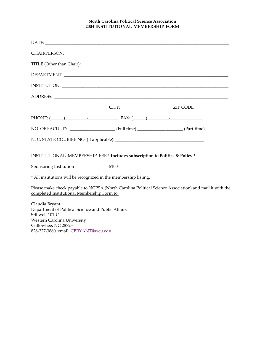#### North Carolina Political Science Association 2004 INSTITUTIONAL MEMBERSHIP FORM

|                                                                                                                        | PHONE: $(\_\_)$ FAX: $(\_\_)$                                               |                                                                                                        |
|------------------------------------------------------------------------------------------------------------------------|-----------------------------------------------------------------------------|--------------------------------------------------------------------------------------------------------|
|                                                                                                                        |                                                                             |                                                                                                        |
|                                                                                                                        |                                                                             |                                                                                                        |
|                                                                                                                        | INSTITUTIONAL MEMBERSHIP FEE:* Includes subscription to Politics & Policy * |                                                                                                        |
| Sponsoring Institution                                                                                                 | \$100                                                                       |                                                                                                        |
| * All institutions will be recognized in the membership listing.                                                       |                                                                             |                                                                                                        |
| completed Institutional Membership Form to:                                                                            |                                                                             | Please make check payable to NCPSA (North Carolina Political Science Association) and mail it with the |
| Claudia Bryant<br>Department of Political Science and Public Affairs<br>Stillwell 101-C<br>Western Carolina University |                                                                             |                                                                                                        |

Cullowhee, NC 28723 828-227-3860, email: CBRYANT@wcu.edu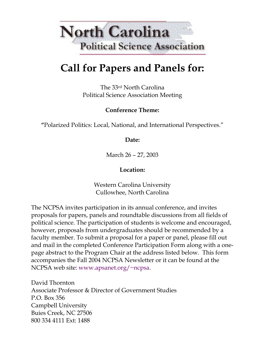# **North Carolina Political Science Association**

## Call for Papers and Panels for:

The 33rd North Carolina Political Science Association Meeting

## Conference Theme:

"Polarized Politics: Local, National, and International Perspectives."

### Date:

March 26 – 27, 2003

## Location:

Western Carolina University Cullowhee, North Carolina

The NCPSA invites participation in its annual conference, and invites proposals for papers, panels and roundtable discussions from all fields of political science. The participation of students is welcome and encouraged, however, proposals from undergraduates should be recommended by a faculty member. To submit a proposal for a paper or panel, please fill out and mail in the completed Conference Participation Form along with a onepage abstract to the Program Chair at the address listed below. This form accompanies the Fall 2004 NCPSA Newsletter or it can be found at the NCPSA web site: www.apsanet.org/~ncpsa.

David Thornton Associate Professor & Director of Government Studies P.O. Box 356 Campbell University Buies Creek, NC 27506 800 334 4111 Ext: 1488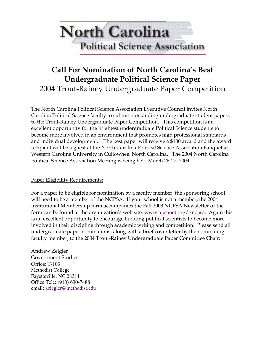# **North Carolina Political Science Association**

## Call For Nomination of North Carolina's Best Undergraduate Political Science Paper 2004 Trout-Rainey Undergraduate Paper Competition

The North Carolina Political Science Association Executive Council invites North Carolina Political Science faculty to submit outstanding undergraduate student papers to the Trout-Rainey Undergraduate Paper Competition. This competition is an excellent opportunity for the brightest undergraduate Political Science students to become more involved in an environment that promotes high professional standards and individual development. The best paper will receive a \$100 award and the award recipient will be a guest at the North Carolina Political Science Association Banquet at Western Carolina University in Cullowhee, North Carolina. The 2004 North Carolina Political Science Association Meeting is being held March 26-27, 2004.

#### Paper Eligibility Requirements:

For a paper to be eligible for nomination by a faculty member, the sponsoring school will need to be a member of the NCPSA. If your school is not a member, the 2004 Institutional Membership form accompanies the Fall 2003 NCPSA Newsletter or the form can be found at the organization's web site: www.apsanet.org/~ncpsa. Again this is an excellent opportunity to encourage budding political scientists to become more involved in their discipline through academic writing and competition. Please send all undergraduate paper nominations, along with a brief cover letter by the nominating faculty member, to the 2004 Trout-Rainey Undergraduate Paper Committee Chair:

Andrew Zeigler Government Studies Office: T-103 Methodist College Fayetteville, NC 28311 Office Tele: (910) 630-7488 email: aziegler@methodist.edu